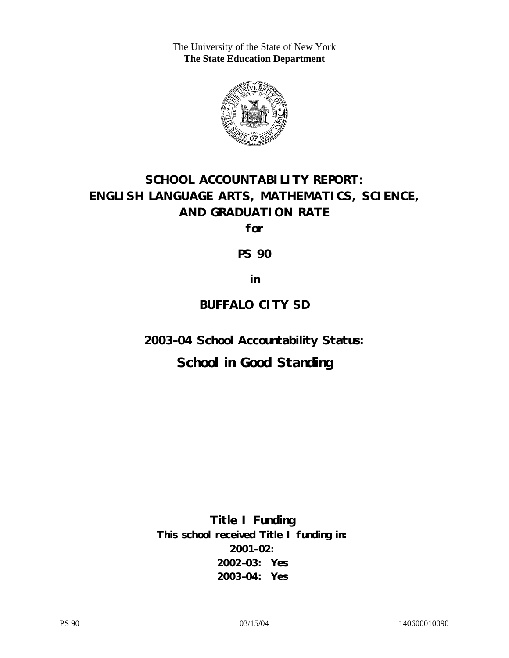The University of the State of New York **The State Education Department** 



# **SCHOOL ACCOUNTABILITY REPORT: ENGLISH LANGUAGE ARTS, MATHEMATICS, SCIENCE, AND GRADUATION RATE**

**for** 

**PS 90** 

**in** 

### **BUFFALO CITY SD**

**2003–04 School Accountability Status:** 

## **School in Good Standing**

**Title I Funding This school received Title I funding in: 2001–02: 2002–03: Yes 2003–04: Yes**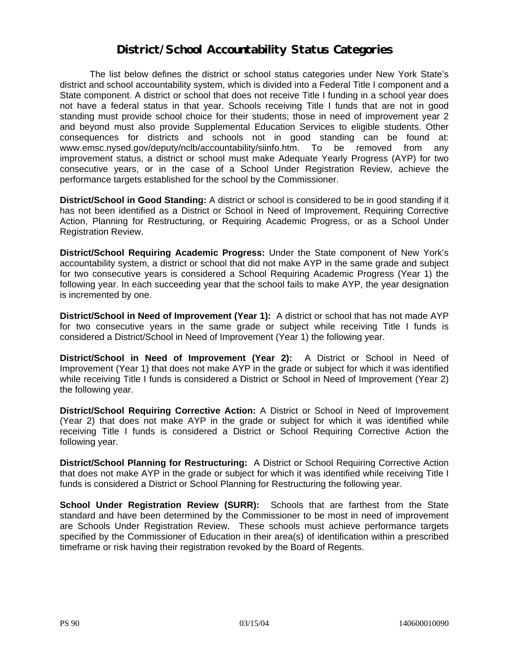### **District/School Accountability Status Categories**

The list below defines the district or school status categories under New York State's district and school accountability system, which is divided into a Federal Title I component and a State component. A district or school that does not receive Title I funding in a school year does not have a federal status in that year. Schools receiving Title I funds that are not in good standing must provide school choice for their students; those in need of improvement year 2 and beyond must also provide Supplemental Education Services to eligible students. Other consequences for districts and schools not in good standing can be found at: www.emsc.nysed.gov/deputy/nclb/accountability/siinfo.htm. To be removed from any improvement status, a district or school must make Adequate Yearly Progress (AYP) for two consecutive years, or in the case of a School Under Registration Review, achieve the performance targets established for the school by the Commissioner.

**District/School in Good Standing:** A district or school is considered to be in good standing if it has not been identified as a District or School in Need of Improvement, Requiring Corrective Action, Planning for Restructuring, or Requiring Academic Progress, or as a School Under Registration Review.

**District/School Requiring Academic Progress:** Under the State component of New York's accountability system, a district or school that did not make AYP in the same grade and subject for two consecutive years is considered a School Requiring Academic Progress (Year 1) the following year. In each succeeding year that the school fails to make AYP, the year designation is incremented by one.

**District/School in Need of Improvement (Year 1):** A district or school that has not made AYP for two consecutive years in the same grade or subject while receiving Title I funds is considered a District/School in Need of Improvement (Year 1) the following year.

**District/School in Need of Improvement (Year 2):** A District or School in Need of Improvement (Year 1) that does not make AYP in the grade or subject for which it was identified while receiving Title I funds is considered a District or School in Need of Improvement (Year 2) the following year.

**District/School Requiring Corrective Action:** A District or School in Need of Improvement (Year 2) that does not make AYP in the grade or subject for which it was identified while receiving Title I funds is considered a District or School Requiring Corrective Action the following year.

**District/School Planning for Restructuring:** A District or School Requiring Corrective Action that does not make AYP in the grade or subject for which it was identified while receiving Title I funds is considered a District or School Planning for Restructuring the following year.

**School Under Registration Review (SURR):** Schools that are farthest from the State standard and have been determined by the Commissioner to be most in need of improvement are Schools Under Registration Review. These schools must achieve performance targets specified by the Commissioner of Education in their area(s) of identification within a prescribed timeframe or risk having their registration revoked by the Board of Regents.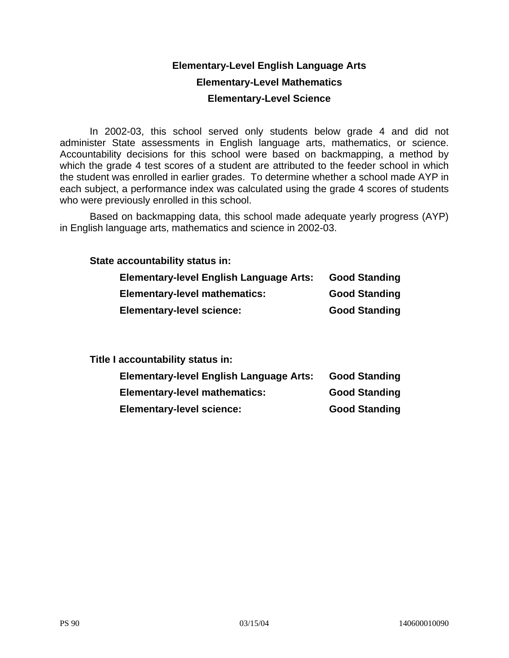### **Elementary-Level English Language Arts Elementary-Level Mathematics Elementary-Level Science**

In 2002-03, this school served only students below grade 4 and did not administer State assessments in English language arts, mathematics, or science. Accountability decisions for this school were based on backmapping, a method by which the grade 4 test scores of a student are attributed to the feeder school in which the student was enrolled in earlier grades. To determine whether a school made AYP in each subject, a performance index was calculated using the grade 4 scores of students who were previously enrolled in this school.

Based on backmapping data, this school made adequate yearly progress (AYP) in English language arts, mathematics and science in 2002-03.

**State accountability status in:** 

| <b>Elementary-level English Language Arts:</b> | <b>Good Standing</b> |
|------------------------------------------------|----------------------|
| <b>Elementary-level mathematics:</b>           | <b>Good Standing</b> |
| <b>Elementary-level science:</b>               | <b>Good Standing</b> |

**Title I accountability status in:** 

| <b>Elementary-level English Language Arts:</b> | <b>Good Standing</b> |
|------------------------------------------------|----------------------|
| <b>Elementary-level mathematics:</b>           | <b>Good Standing</b> |
| <b>Elementary-level science:</b>               | <b>Good Standing</b> |